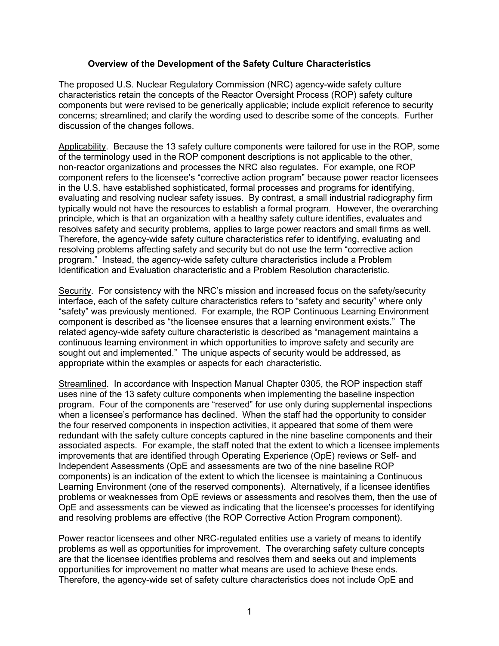## **Overview of the Development of the Safety Culture Characteristics**

The proposed U.S. Nuclear Regulatory Commission (NRC) agency-wide safety culture characteristics retain the concepts of the Reactor Oversight Process (ROP) safety culture components but were revised to be generically applicable; include explicit reference to security concerns; streamlined; and clarify the wording used to describe some of the concepts. Further discussion of the changes follows.

Applicability. Because the 13 safety culture components were tailored for use in the ROP, some of the terminology used in the ROP component descriptions is not applicable to the other, non-reactor organizations and processes the NRC also regulates. For example, one ROP component refers to the licensee's "corrective action program" because power reactor licensees in the U.S. have established sophisticated, formal processes and programs for identifying, evaluating and resolving nuclear safety issues. By contrast, a small industrial radiography firm typically would not have the resources to establish a formal program. However, the overarching principle, which is that an organization with a healthy safety culture identifies, evaluates and resolves safety and security problems, applies to large power reactors and small firms as well. Therefore, the agency-wide safety culture characteristics refer to identifying, evaluating and resolving problems affecting safety and security but do not use the term "corrective action program." Instead, the agency-wide safety culture characteristics include a Problem Identification and Evaluation characteristic and a Problem Resolution characteristic.

Security. For consistency with the NRC's mission and increased focus on the safety/security interface, each of the safety culture characteristics refers to "safety and security" where only "safety" was previously mentioned. For example, the ROP Continuous Learning Environment component is described as "the licensee ensures that a learning environment exists." The related agency-wide safety culture characteristic is described as "management maintains a continuous learning environment in which opportunities to improve safety and security are sought out and implemented." The unique aspects of security would be addressed, as appropriate within the examples or aspects for each characteristic.

Streamlined. In accordance with Inspection Manual Chapter 0305, the ROP inspection staff uses nine of the 13 safety culture components when implementing the baseline inspection program. Four of the components are "reserved" for use only during supplemental inspections when a licensee's performance has declined. When the staff had the opportunity to consider the four reserved components in inspection activities, it appeared that some of them were redundant with the safety culture concepts captured in the nine baseline components and their associated aspects. For example, the staff noted that the extent to which a licensee implements improvements that are identified through Operating Experience (OpE) reviews or Self- and Independent Assessments (OpE and assessments are two of the nine baseline ROP components) is an indication of the extent to which the licensee is maintaining a Continuous Learning Environment (one of the reserved components). Alternatively, if a licensee identifies problems or weaknesses from OpE reviews or assessments and resolves them, then the use of OpE and assessments can be viewed as indicating that the licensee's processes for identifying and resolving problems are effective (the ROP Corrective Action Program component).

Power reactor licensees and other NRC-regulated entities use a variety of means to identify problems as well as opportunities for improvement. The overarching safety culture concepts are that the licensee identifies problems and resolves them and seeks out and implements opportunities for improvement no matter what means are used to achieve these ends. Therefore, the agency-wide set of safety culture characteristics does not include OpE and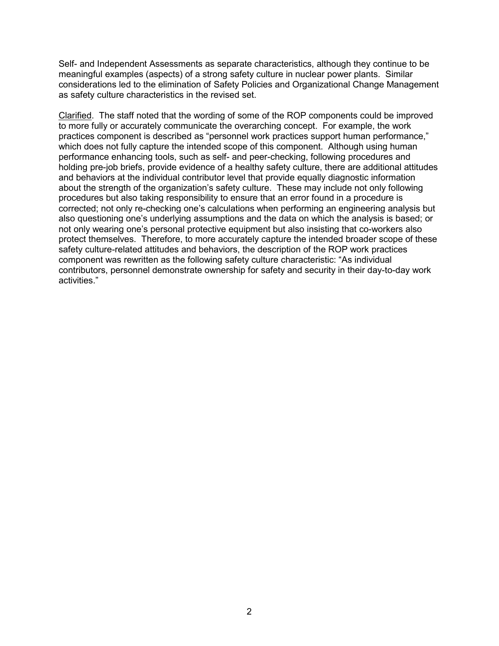Self- and Independent Assessments as separate characteristics, although they continue to be meaningful examples (aspects) of a strong safety culture in nuclear power plants. Similar considerations led to the elimination of Safety Policies and Organizational Change Management as safety culture characteristics in the revised set.

Clarified. The staff noted that the wording of some of the ROP components could be improved to more fully or accurately communicate the overarching concept. For example, the work practices component is described as "personnel work practices support human performance," which does not fully capture the intended scope of this component. Although using human performance enhancing tools, such as self- and peer-checking, following procedures and holding pre-job briefs, provide evidence of a healthy safety culture, there are additional attitudes and behaviors at the individual contributor level that provide equally diagnostic information about the strength of the organization's safety culture. These may include not only following procedures but also taking responsibility to ensure that an error found in a procedure is corrected; not only re-checking one's calculations when performing an engineering analysis but also questioning one's underlying assumptions and the data on which the analysis is based; or not only wearing one's personal protective equipment but also insisting that co-workers also protect themselves. Therefore, to more accurately capture the intended broader scope of these safety culture-related attitudes and behaviors, the description of the ROP work practices component was rewritten as the following safety culture characteristic: "As individual contributors, personnel demonstrate ownership for safety and security in their day-to-day work activities."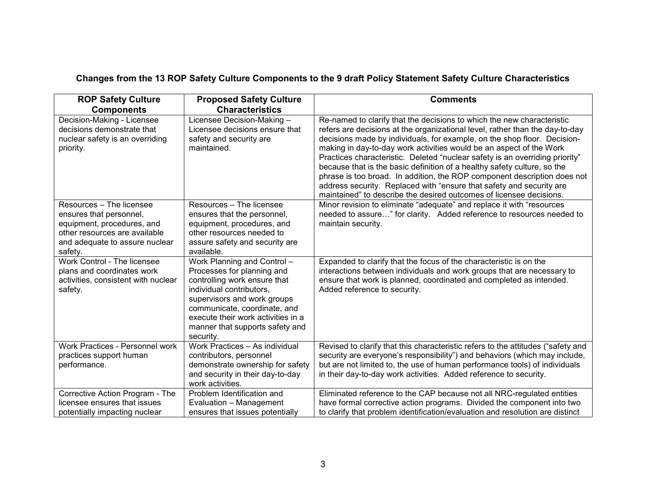## **Changes from the 13 ROP Safety Culture Components to the 9 draft Policy Statement Safety Culture Characteristics**

| <b>ROP Safety Culture</b><br><b>Components</b>                                                                                                                  | <b>Proposed Safety Culture</b><br><b>Characteristics</b>                                                                                                                                                                                                                   | <b>Comments</b>                                                                                                                                                                                                                                                                                                                                                                                                                                                                                                                                                                                                                                                                                  |
|-----------------------------------------------------------------------------------------------------------------------------------------------------------------|----------------------------------------------------------------------------------------------------------------------------------------------------------------------------------------------------------------------------------------------------------------------------|--------------------------------------------------------------------------------------------------------------------------------------------------------------------------------------------------------------------------------------------------------------------------------------------------------------------------------------------------------------------------------------------------------------------------------------------------------------------------------------------------------------------------------------------------------------------------------------------------------------------------------------------------------------------------------------------------|
| Decision-Making - Licensee<br>decisions demonstrate that<br>nuclear safety is an overriding<br>priority.                                                        | Licensee Decision-Making -<br>Licensee decisions ensure that<br>safety and security are<br>maintained.                                                                                                                                                                     | Re-named to clarify that the decisions to which the new characteristic<br>refers are decisions at the organizational level, rather than the day-to-day<br>decisions made by individuals, for example, on the shop floor. Decision-<br>making in day-to-day work activities would be an aspect of the Work<br>Practices characteristic. Deleted "nuclear safety is an overriding priority"<br>because that is the basic definition of a healthy safety culture, so the<br>phrase is too broad. In addition, the ROP component description does not<br>address security. Replaced with "ensure that safety and security are<br>maintained" to describe the desired outcomes of licensee decisions. |
| Resources - The licensee<br>ensures that personnel,<br>equipment, procedures, and<br>other resources are available<br>and adequate to assure nuclear<br>safety. | Resources - The licensee<br>ensures that the personnel,<br>equipment, procedures, and<br>other resources needed to<br>assure safety and security are<br>available.                                                                                                         | Minor revision to eliminate "adequate" and replace it with "resources<br>needed to assure" for clarity. Added reference to resources needed to<br>maintain security.                                                                                                                                                                                                                                                                                                                                                                                                                                                                                                                             |
| Work Control - The licensee<br>plans and coordinates work<br>activities, consistent with nuclear<br>safety.                                                     | Work Planning and Control -<br>Processes for planning and<br>controlling work ensure that<br>individual contributors.<br>supervisors and work groups<br>communicate, coordinate, and<br>execute their work activities in a<br>manner that supports safety and<br>security. | Expanded to clarify that the focus of the characteristic is on the<br>interactions between individuals and work groups that are necessary to<br>ensure that work is planned, coordinated and completed as intended.<br>Added reference to security.                                                                                                                                                                                                                                                                                                                                                                                                                                              |
| Work Practices - Personnel work<br>practices support human<br>performance.                                                                                      | Work Practices - As individual<br>contributors, personnel<br>demonstrate ownership for safety<br>and security in their day-to-day<br>work activities.                                                                                                                      | Revised to clarify that this characteristic refers to the attitudes ("safety and<br>security are everyone's responsibility") and behaviors (which may include,<br>but are not limited to, the use of human performance tools) of individuals<br>in their day-to-day work activities. Added reference to security.                                                                                                                                                                                                                                                                                                                                                                                |
| Corrective Action Program - The<br>licensee ensures that issues<br>potentially impacting nuclear                                                                | Problem Identification and<br>Evaluation - Management<br>ensures that issues potentially                                                                                                                                                                                   | Eliminated reference to the CAP because not all NRC-regulated entities<br>have formal corrective action programs. Divided the component into two<br>to clarify that problem identification/evaluation and resolution are distinct                                                                                                                                                                                                                                                                                                                                                                                                                                                                |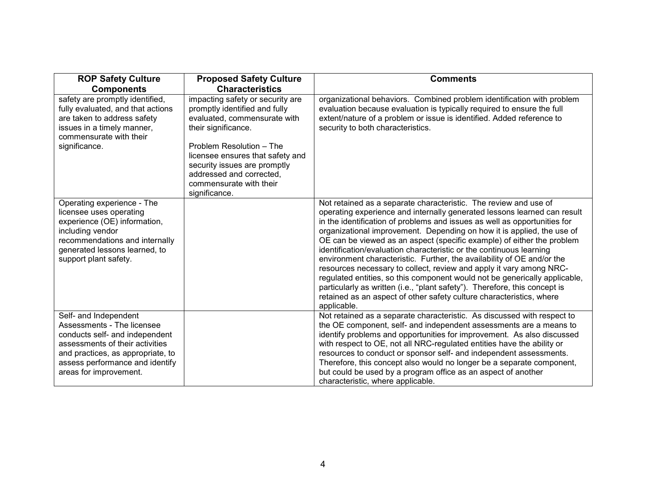| <b>ROP Safety Culture</b>                                                                                                                                                                                                  | <b>Proposed Safety Culture</b>                                                                                                                                                                                                                                                  | <b>Comments</b>                                                                                                                                                                                                                                                                                                                                                                                                                                                                                                                                                                                                                                                                                                                                                                                                                                          |
|----------------------------------------------------------------------------------------------------------------------------------------------------------------------------------------------------------------------------|---------------------------------------------------------------------------------------------------------------------------------------------------------------------------------------------------------------------------------------------------------------------------------|----------------------------------------------------------------------------------------------------------------------------------------------------------------------------------------------------------------------------------------------------------------------------------------------------------------------------------------------------------------------------------------------------------------------------------------------------------------------------------------------------------------------------------------------------------------------------------------------------------------------------------------------------------------------------------------------------------------------------------------------------------------------------------------------------------------------------------------------------------|
| <b>Components</b>                                                                                                                                                                                                          | <b>Characteristics</b>                                                                                                                                                                                                                                                          |                                                                                                                                                                                                                                                                                                                                                                                                                                                                                                                                                                                                                                                                                                                                                                                                                                                          |
| safety are promptly identified,<br>fully evaluated, and that actions<br>are taken to address safety<br>issues in a timely manner,<br>commensurate with their<br>significance.                                              | impacting safety or security are<br>promptly identified and fully<br>evaluated, commensurate with<br>their significance.<br>Problem Resolution - The<br>licensee ensures that safety and<br>security issues are promptly<br>addressed and corrected.<br>commensurate with their | organizational behaviors. Combined problem identification with problem<br>evaluation because evaluation is typically required to ensure the full<br>extent/nature of a problem or issue is identified. Added reference to<br>security to both characteristics.                                                                                                                                                                                                                                                                                                                                                                                                                                                                                                                                                                                           |
|                                                                                                                                                                                                                            | significance.                                                                                                                                                                                                                                                                   |                                                                                                                                                                                                                                                                                                                                                                                                                                                                                                                                                                                                                                                                                                                                                                                                                                                          |
| Operating experience - The<br>licensee uses operating<br>experience (OE) information,<br>including vendor<br>recommendations and internally<br>generated lessons learned, to<br>support plant safety.                      |                                                                                                                                                                                                                                                                                 | Not retained as a separate characteristic. The review and use of<br>operating experience and internally generated lessons learned can result<br>in the identification of problems and issues as well as opportunities for<br>organizational improvement. Depending on how it is applied, the use of<br>OE can be viewed as an aspect (specific example) of either the problem<br>identification/evaluation characteristic or the continuous learning<br>environment characteristic. Further, the availability of OE and/or the<br>resources necessary to collect, review and apply it vary among NRC-<br>regulated entities, so this component would not be generically applicable,<br>particularly as written (i.e., "plant safety"). Therefore, this concept is<br>retained as an aspect of other safety culture characteristics, where<br>applicable. |
| Self- and Independent<br>Assessments - The licensee<br>conducts self- and independent<br>assessments of their activities<br>and practices, as appropriate, to<br>assess performance and identify<br>areas for improvement. |                                                                                                                                                                                                                                                                                 | Not retained as a separate characteristic. As discussed with respect to<br>the OE component, self- and independent assessments are a means to<br>identify problems and opportunities for improvement. As also discussed<br>with respect to OE, not all NRC-regulated entities have the ability or<br>resources to conduct or sponsor self- and independent assessments.<br>Therefore, this concept also would no longer be a separate component,<br>but could be used by a program office as an aspect of another<br>characteristic, where applicable.                                                                                                                                                                                                                                                                                                   |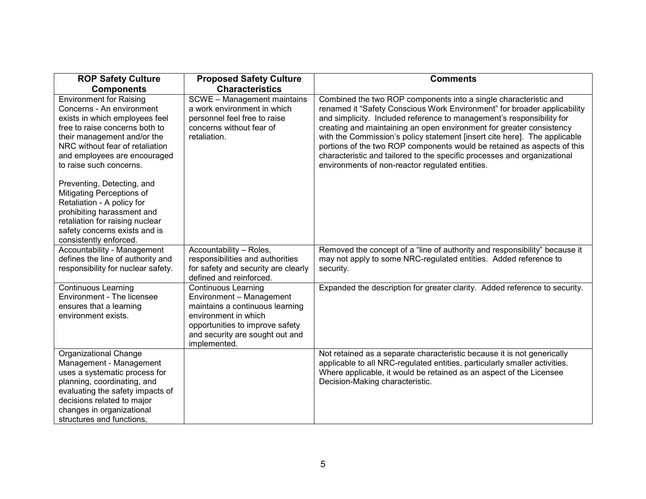| <b>ROP Safety Culture</b>                                                                                                                                                                                                                                    | <b>Proposed Safety Culture</b>                                                                                                                                                                          | <b>Comments</b>                                                                                                                                                                                                                                                                                                                                                                                                                                                                                                                                                                      |
|--------------------------------------------------------------------------------------------------------------------------------------------------------------------------------------------------------------------------------------------------------------|---------------------------------------------------------------------------------------------------------------------------------------------------------------------------------------------------------|--------------------------------------------------------------------------------------------------------------------------------------------------------------------------------------------------------------------------------------------------------------------------------------------------------------------------------------------------------------------------------------------------------------------------------------------------------------------------------------------------------------------------------------------------------------------------------------|
| <b>Components</b>                                                                                                                                                                                                                                            | <b>Characteristics</b>                                                                                                                                                                                  |                                                                                                                                                                                                                                                                                                                                                                                                                                                                                                                                                                                      |
| <b>Environment for Raising</b><br>Concerns - An environment<br>exists in which employees feel<br>free to raise concerns both to<br>their management and/or the<br>NRC without fear of retaliation<br>and employees are encouraged<br>to raise such concerns. | SCWE - Management maintains<br>a work environment in which<br>personnel feel free to raise<br>concerns without fear of<br>retaliation.                                                                  | Combined the two ROP components into a single characteristic and<br>renamed it "Safety Conscious Work Environment" for broader applicability<br>and simplicity. Included reference to management's responsibility for<br>creating and maintaining an open environment for greater consistency<br>with the Commission's policy statement [insert cite here]. The applicable<br>portions of the two ROP components would be retained as aspects of this<br>characteristic and tailored to the specific processes and organizational<br>environments of non-reactor regulated entities. |
| Preventing, Detecting, and<br>Mitigating Perceptions of<br>Retaliation - A policy for<br>prohibiting harassment and<br>retaliation for raising nuclear<br>safety concerns exists and is<br>consistently enforced.                                            |                                                                                                                                                                                                         |                                                                                                                                                                                                                                                                                                                                                                                                                                                                                                                                                                                      |
| Accountability - Management<br>defines the line of authority and<br>responsibility for nuclear safety.                                                                                                                                                       | Accountability - Roles,<br>responsibilities and authorities<br>for safety and security are clearly<br>defined and reinforced.                                                                           | Removed the concept of a "line of authority and responsibility" because it<br>may not apply to some NRC-regulated entities. Added reference to<br>security.                                                                                                                                                                                                                                                                                                                                                                                                                          |
| <b>Continuous Learning</b><br>Environment - The licensee<br>ensures that a learning<br>environment exists.                                                                                                                                                   | <b>Continuous Learning</b><br>Environment - Management<br>maintains a continuous learning<br>environment in which<br>opportunities to improve safety<br>and security are sought out and<br>implemented. | Expanded the description for greater clarity. Added reference to security.                                                                                                                                                                                                                                                                                                                                                                                                                                                                                                           |
| Organizational Change<br>Management - Management<br>uses a systematic process for<br>planning, coordinating, and<br>evaluating the safety impacts of<br>decisions related to major<br>changes in organizational<br>structures and functions,                 |                                                                                                                                                                                                         | Not retained as a separate characteristic because it is not generically<br>applicable to all NRC-regulated entities, particularly smaller activities.<br>Where applicable, it would be retained as an aspect of the Licensee<br>Decision-Making characteristic.                                                                                                                                                                                                                                                                                                                      |